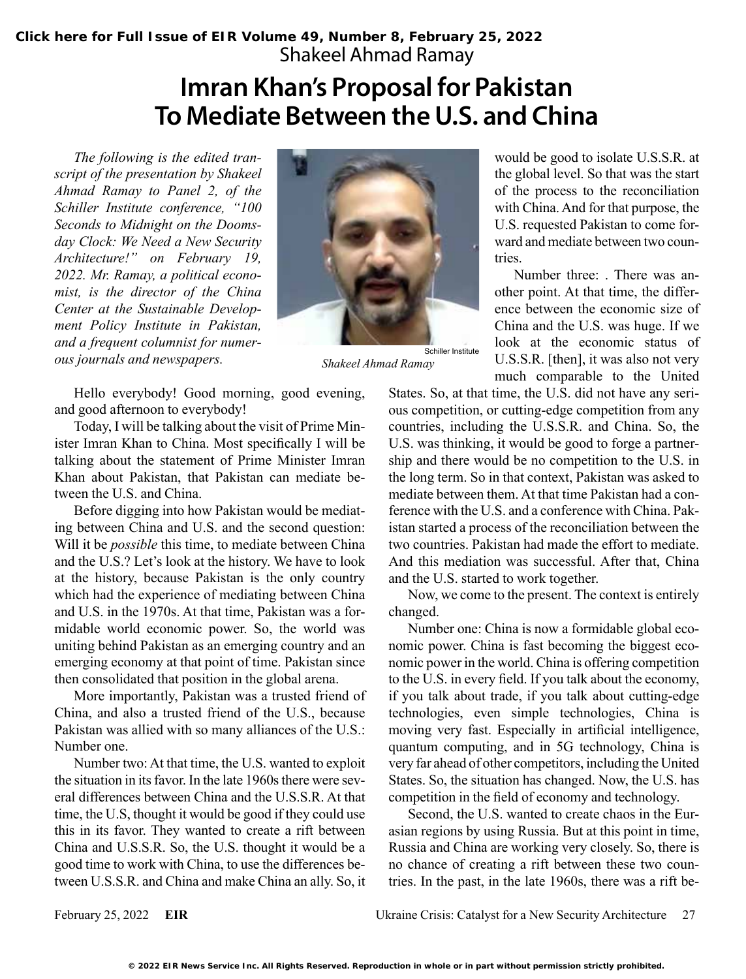## **Imran Khan's Proposal for Pakistan To Mediate Between the U.S. and China**

*The following is the edited transcript of the presentation by Shakeel Ahmad Ramay to Panel 2, of the Schiller Institute conference, "100 Seconds to Midnight on the Doomsday Clock: We Need a New Security Architecture!" on February 19, 2022. Mr. Ramay, a political economist, is the director of the China Center at the Sustainable Development Policy Institute in Pakistan, and a frequent columnist for numerous journals and newspapers.* 



*Shakeel Ahmad Ramay*

Hello everybody! Good morning, good evening, and good afternoon to everybody!

Today, I will be talking about the visit of Prime Minister Imran Khan to China. Most specifically I will be talking about the statement of Prime Minister Imran Khan about Pakistan, that Pakistan can mediate between the U.S. and China.

Before digging into how Pakistan would be mediating between China and U.S. and the second question: Will it be *possible* this time, to mediate between China and the U.S.? Let's look at the history. We have to look at the history, because Pakistan is the only country which had the experience of mediating between China and U.S. in the 1970s. At that time, Pakistan was a formidable world economic power. So, the world was uniting behind Pakistan as an emerging country and an emerging economy at that point of time. Pakistan since then consolidated that position in the global arena.

More importantly, Pakistan was a trusted friend of China, and also a trusted friend of the U.S., because Pakistan was allied with so many alliances of the U.S.: Number one.

Number two: At that time, the U.S. wanted to exploit the situation in its favor. In the late 1960s there were several differences between China and the U.S.S.R. At that time, the U.S, thought it would be good if they could use this in its favor. They wanted to create a rift between China and U.S.S.R. So, the U.S. thought it would be a good time to work with China, to use the differences between U.S.S.R. and China and make China an ally. So, it would be good to isolate U.S.S.R. at the global level. So that was the start of the process to the reconciliation with China. And for that purpose, the U.S. requested Pakistan to come forward and mediate between two countries.

Number three: . There was another point. At that time, the difference between the economic size of China and the U.S. was huge. If we look at the economic status of U.S.S.R. [then], it was also not very much comparable to the United

States. So, at that time, the U.S. did not have any serious competition, or cutting-edge competition from any countries, including the U.S.S.R. and China. So, the U.S. was thinking, it would be good to forge a partnership and there would be no competition to the U.S. in the long term. So in that context, Pakistan was asked to mediate between them. At that time Pakistan had a conference with the U.S. and a conference with China. Pakistan started a process of the reconciliation between the two countries. Pakistan had made the effort to mediate. And this mediation was successful. After that, China and the U.S. started to work together.

Now, we come to the present. The context is entirely changed.

Number one: China is now a formidable global economic power. China is fast becoming the biggest economic power in the world. China is offering competition to the U.S. in every field. If you talk about the economy, if you talk about trade, if you talk about cutting-edge technologies, even simple technologies, China is moving very fast. Especially in artificial intelligence, quantum computing, and in 5G technology, China is very far ahead of other competitors, including the United States. So, the situation has changed. Now, the U.S. has competition in the field of economy and technology.

Second, the U.S. wanted to create chaos in the Eurasian regions by using Russia. But at this point in time, Russia and China are working very closely. So, there is no chance of creating a rift between these two countries. In the past, in the late 1960s, there was a rift be-

February 25, 2022 **EIR** Ukraine Crisis: Catalyst for a New Security Architecture 27